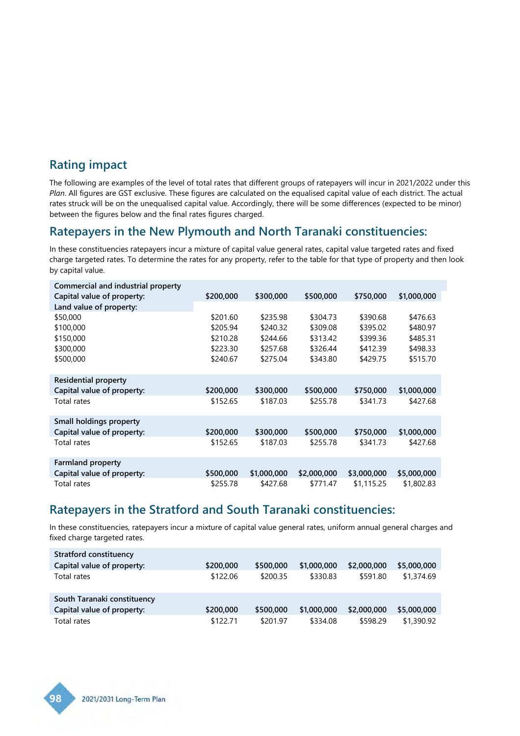#### **Rating impact**

The following are examples of the level of total rates that different groups of ratepayers will incur in 2021/2022 under this *Plan*. All figures are GST exclusive. These figures are calculated on the equalised capital value of each district. The actual rates struck will be on the unequalised capital value. Accordingly, there will be some differences (expected to be minor) between the figures below and the final rates figures charged.

### **Ratepayers in the New Plymouth and North Taranaki constituencies:**

In these constituencies ratepayers incur a mixture of capital value general rates, capital value targeted rates and fixed charge targeted rates. To determine the rates for any property, refer to the table for that type of property and then look by capital value.

| Commercial and industrial property |           |             |             |             |             |
|------------------------------------|-----------|-------------|-------------|-------------|-------------|
| Capital value of property:         | \$200,000 | \$300,000   | \$500,000   | \$750,000   | \$1,000,000 |
| Land value of property:            |           |             |             |             |             |
| \$50,000                           | \$201.60  | \$235.98    | \$304.73    | \$390.68    | \$476.63    |
| \$100,000                          | \$205.94  | \$240.32    | \$309.08    | \$395.02    | \$480.97    |
| \$150,000                          | \$210.28  | \$244.66    | \$313.42    | \$399.36    | \$485.31    |
| \$300,000                          | \$223.30  | \$257.68    | \$326.44    | \$412.39    | \$498.33    |
| \$500,000                          | \$240.67  | \$275.04    | \$343.80    | \$429.75    | \$515.70    |
|                                    |           |             |             |             |             |
| <b>Residential property</b>        |           |             |             |             |             |
| Capital value of property:         | \$200,000 | \$300,000   | \$500,000   | \$750,000   | \$1,000,000 |
| Total rates                        | \$152.65  | \$187.03    | \$255.78    | \$341.73    | \$427.68    |
|                                    |           |             |             |             |             |
| Small holdings property            |           |             |             |             |             |
| Capital value of property:         | \$200,000 | \$300,000   | \$500,000   | \$750,000   | \$1,000,000 |
| Total rates                        | \$152.65  | \$187.03    | \$255.78    | \$341.73    | \$427.68    |
|                                    |           |             |             |             |             |
| <b>Farmland property</b>           |           |             |             |             |             |
| Capital value of property:         | \$500,000 | \$1,000,000 | \$2,000,000 | \$3,000,000 | \$5,000,000 |
| Total rates                        | \$255.78  | \$427.68    | \$771.47    | \$1,115.25  | \$1,802.83  |

### **Ratepayers in the Stratford and South Taranaki constituencies:**

In these constituencies, ratepayers incur a mixture of capital value general rates, uniform annual general charges and fixed charge targeted rates.

| Stratford constituency      |           |           |             |             |             |
|-----------------------------|-----------|-----------|-------------|-------------|-------------|
| Capital value of property:  | \$200,000 | \$500,000 | \$1,000,000 | \$2,000,000 | \$5,000,000 |
| Total rates                 | \$122.06  | \$200.35  | \$330.83    | \$591.80    | \$1,374.69  |
| South Taranaki constituency |           |           |             |             |             |
| Capital value of property:  | \$200,000 | \$500,000 | \$1,000,000 | \$2,000,000 | \$5,000,000 |
| Total rates                 | \$122.71  | \$201.97  | \$334.08    | \$598.29    | \$1,390.92  |